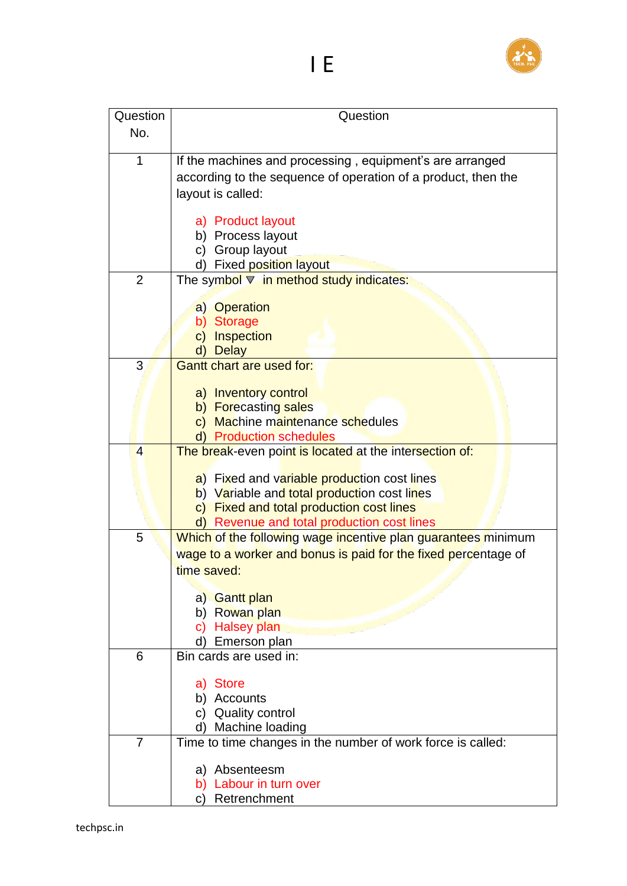

|  |  | E |
|--|--|---|
|  |  |   |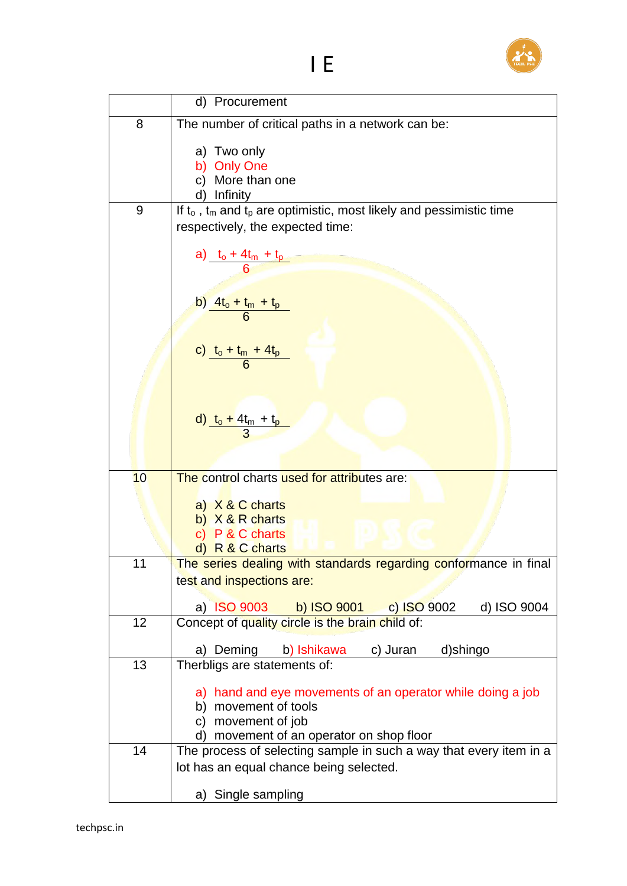

|    | d) Procurement                                                              |  |  |  |
|----|-----------------------------------------------------------------------------|--|--|--|
| 8  | The number of critical paths in a network can be:                           |  |  |  |
|    | a) Two only                                                                 |  |  |  |
|    | b) Only One                                                                 |  |  |  |
|    | More than one<br>C)                                                         |  |  |  |
|    | Infinity                                                                    |  |  |  |
| 9  | If $t_0$ , $t_m$ and $t_p$ are optimistic, most likely and pessimistic time |  |  |  |
|    | respectively, the expected time:                                            |  |  |  |
|    |                                                                             |  |  |  |
|    | a) $\frac{t_0 + 4t_m + t_p}{6}$                                             |  |  |  |
|    |                                                                             |  |  |  |
|    |                                                                             |  |  |  |
|    |                                                                             |  |  |  |
|    | $\frac{b}{b} \frac{4t_0 + t_m + t_p}{6}$                                    |  |  |  |
|    |                                                                             |  |  |  |
|    | c) $\frac{t_0 + t_m + 4t_p}{6}$                                             |  |  |  |
|    |                                                                             |  |  |  |
|    |                                                                             |  |  |  |
|    |                                                                             |  |  |  |
|    |                                                                             |  |  |  |
|    | d) $\frac{t_0 + 4t_m + t_p}{3}$                                             |  |  |  |
|    |                                                                             |  |  |  |
|    |                                                                             |  |  |  |
| 10 | The control charts used for attributes are:                                 |  |  |  |
|    |                                                                             |  |  |  |
|    | a) X & C charts                                                             |  |  |  |
|    | b) $X & R$ charts                                                           |  |  |  |
|    | c) P & C charts                                                             |  |  |  |
|    | d) R & C charts                                                             |  |  |  |
| 11 | The series dealing with standards regarding conformance in final            |  |  |  |
|    | test and inspections are:                                                   |  |  |  |
|    | a) ISO 9003 b) ISO 9001 c) ISO 9002<br>d) ISO 9004                          |  |  |  |
| 12 | Concept of quality circle is the brain child of:                            |  |  |  |
|    |                                                                             |  |  |  |
|    | a) Deming<br>c) Juran<br>b) Ishikawa<br>d)shingo                            |  |  |  |
| 13 | Therbligs are statements of:                                                |  |  |  |
|    |                                                                             |  |  |  |
|    | a) hand and eye movements of an operator while doing a job                  |  |  |  |
|    | b) movement of tools                                                        |  |  |  |
|    | c) movement of job                                                          |  |  |  |
|    | d) movement of an operator on shop floor                                    |  |  |  |
| 14 | The process of selecting sample in such a way that every item in a          |  |  |  |
|    | lot has an equal chance being selected.                                     |  |  |  |
|    |                                                                             |  |  |  |
|    | a) Single sampling                                                          |  |  |  |